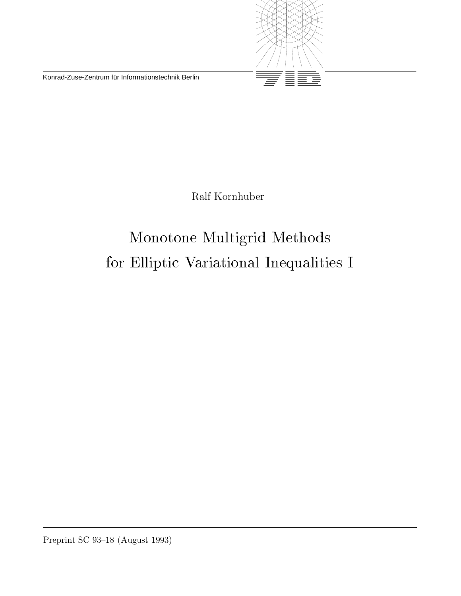Konrad-Zuse-Zentrum für Informationstechnik Berlin



Ralf Kornhuber

# Monotone Multigrid Methodsfor Elliptic Variational Inequalities I

Preprint SC 93–18 (August 1993)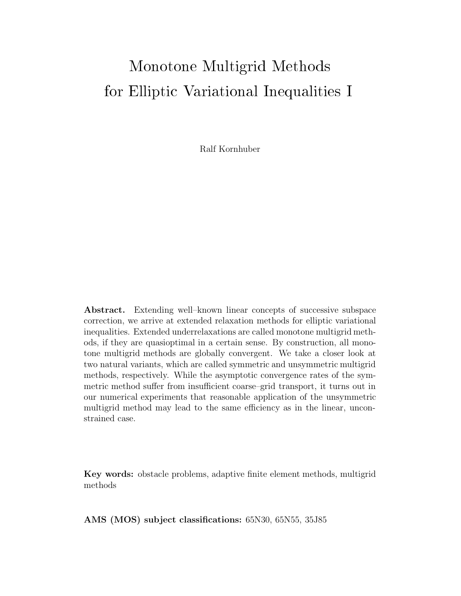# Monotone Multigrid Methodsfor Elliptic Variational Inequalities I

Ralf Kornhuber

**Abstract.** Extending well–known linear concepts of successive subspace correction, we arrive at extended relaxation methods for elliptic variational inequalities. Extended underrelaxations are called monotone multigrid methods, if they are quasioptimal in a certain sense. By construction, all monotone multigrid methods are globally convergent. We take a closer look at two natural variants, which are called symmetric and unsymmetric multigrid methods, respectively. While the asymptotic convergence rates of the symmetric method suffer from insufficient coarse–grid transport, it turns out in our numerical experiments that reasonable application of the unsymmetric multigrid method may lead to the same efficiency as in the linear, unconstrained case.

**Key words:** obstacle problems, adaptive finite element methods, multigrid methods

**AMS (MOS) subject classifications:** 65N30, 65N55, 35J85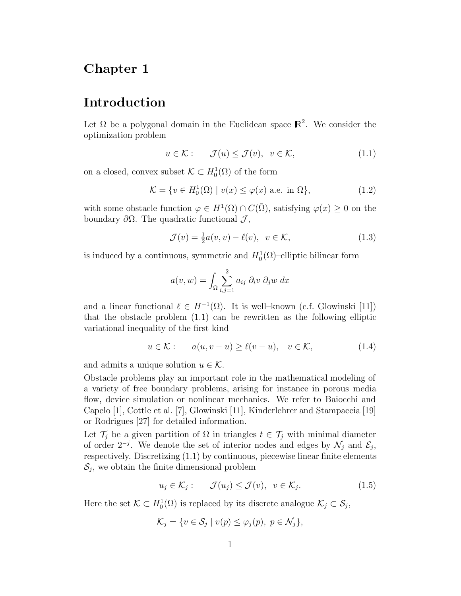# Chapter 1

# Introduction

Let  $\Omega$  be a polygonal domain in the Euclidean space  $\mathbb{R}^2$ . We consider the optimization problem

$$
u \in \mathcal{K} : \qquad \mathcal{J}(u) \leq \mathcal{J}(v), \quad v \in \mathcal{K}, \tag{1.1}
$$

on a closed, convex subset  $\mathcal{K} \subset H_0^1(\Omega)$  of the form

$$
\mathcal{K} = \{ v \in H_0^1(\Omega) \mid v(x) \le \varphi(x) \text{ a.e. in } \Omega \},\tag{1.2}
$$

with some obstacle function  $\varphi \in H^1(\Omega) \cap C(\overline{\Omega})$ , satisfying  $\varphi(x) \geq 0$  on the boundary  $\partial \Omega$ . The quadratic functional  $\mathcal{J}$ ,

$$
\mathcal{J}(v) = \frac{1}{2}a(v, v) - \ell(v), \quad v \in \mathcal{K},\tag{1.3}
$$

is induced by a continuous, symmetric and  $H_0^1(\Omega)$ -elliptic bilinear form

$$
a(v, w) = \int_{\Omega} \sum_{i,j=1}^{2} a_{ij} \partial_i v \partial_j w \, dx
$$

and a linear functional  $\ell \in H^{-1}(\Omega)$ . It is well–known (c.f. Glowinski [11]) that the obstacle problem (1.1) can be rewritten as the following elliptic variational inequality of the first kind

$$
u \in \mathcal{K} : \qquad a(u, v - u) \ge \ell(v - u), \quad v \in \mathcal{K}, \tag{1.4}
$$

and admits a unique solution  $u \in \mathcal{K}$ .

Obstacle problems play an important role in the mathematical modeling of a variety of free boundary problems, arising for instance in porous media flow, device simulation or nonlinear mechanics. We refer to Baiocchi and Capelo [1], Cottle et al. [7], Glowinski [11], Kinderlehrer and Stampaccia [19] or Rodrigues [27] for detailed information.

Let  $\mathcal{T}_j$  be a given partition of  $\Omega$  in triangles  $t \in \mathcal{T}_j$  with minimal diameter of order  $2^{-j}$ . We denote the set of interior nodes and edges by  $\mathcal{N}_j$  and  $\mathcal{E}_j$ , respectively. Discretizing (1.1) by continuous, piecewise linear finite elements  $\mathcal{S}_j$ , we obtain the finite dimensional problem

$$
u_j \in \mathcal{K}_j: \qquad \mathcal{J}(u_j) \le \mathcal{J}(v), \quad v \in \mathcal{K}_j. \tag{1.5}
$$

Here the set  $\mathcal{K} \subset H_0^1(\Omega)$  is replaced by its discrete analogue  $\mathcal{K}_j \subset \mathcal{S}_j$ ,

$$
\mathcal{K}_j = \{ v \in \mathcal{S}_j \mid v(p) \le \varphi_j(p), \ p \in \mathcal{N}_j \},
$$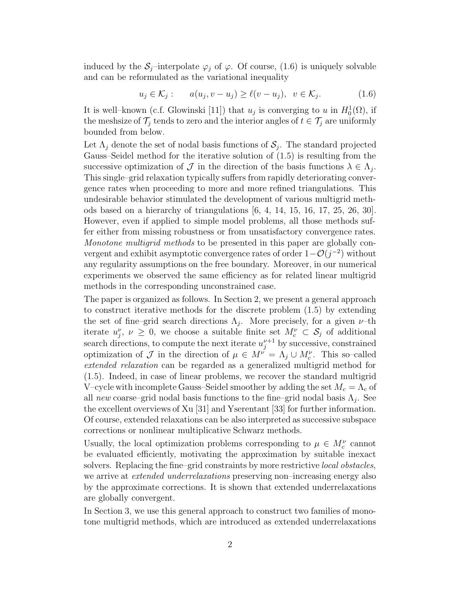induced by the  $S_j$ –interpolate  $\varphi_j$  of  $\varphi$ . Of course, (1.6) is uniquely solvable and can be reformulated as the variational inequality

$$
u_j \in \mathcal{K}_j: \qquad a(u_j, v - u_j) \ge \ell(v - u_j), \quad v \in \mathcal{K}_j. \tag{1.6}
$$

It is well–known (c.f. Glowinski [11]) that  $u_j$  is converging to  $u$  in  $H_0^1(\Omega)$ , if the meshsize of  $\mathcal{T}_j$  tends to zero and the interior angles of  $t \in \mathcal{T}_j$  are uniformly bounded from below.

Let  $\Lambda_j$  denote the set of nodal basis functions of  $S_j$ . The standard projected Gauss–Seidel method for the iterative solution of (1.5) is resulting from the successive optimization of  $\mathcal J$  in the direction of the basis functions  $\lambda \in \Lambda_i$ . This single–grid relaxation typically suffers from rapidly deteriorating convergence rates when proceeding to more and more refined triangulations. This undesirable behavior stimulated the development of various multigrid methods based on a hierarchy of triangulations [6, 4, 14, 15, 16, 17, 25, 26, 30]. However, even if applied to simple model problems, all those methods suffer either from missing robustness or from unsatisfactory convergence rates. *Monotone multigrid methods* to be presented in this paper are globally convergent and exhibit asymptotic convergence rates of order 1−O(*j−*<sup>2</sup>) without any regularity assumptions on the free boundary. Moreover, in our numerical experiments we observed the same efficiency as for related linear multigrid methods in the corresponding unconstrained case.

The paper is organized as follows. In Section 2, we present a general approach to construct iterative methods for the discrete problem (1.5) by extending the set of fine–grid search directions  $\Lambda_i$ . More precisely, for a given  $\nu$ –th iterate  $u_j^{\nu}, \nu \geq 0$ , we choose a suitable finite set  $M_c^{\nu} \subset \mathcal{S}_j$  of additional search directions, to compute the next iterate  $u_j^{\nu+1}$  by successive, constrained optimization of  $\mathcal J$  in the direction of  $\mu \in M^{\nu} = \Lambda_j \cup M_c^{\nu}$ . This so–called *extended relaxation* can be regarded as a generalized multigrid method for (1.5). Indeed, in case of linear problems, we recover the standard multigrid V–cycle with incomplete Gauss–Seidel smoother by adding the set  $M_c = \Lambda_c$  of all *new* coarse–grid nodal basis functions to the fine–grid nodal basis  $\Lambda_i$ . See the excellent overviews of Xu [31] and Yserentant [33] for further information. Of course, extended relaxations can be also interpreted as successive subspace corrections or nonlinear multiplicative Schwarz methods.

Usually, the local optimization problems corresponding to  $\mu \in M_c^{\nu}$  cannot be evaluated efficiently, motivating the approximation by suitable inexact solvers. Replacing the fine–grid constraints by more restrictive *local obstacles*, we arrive at *extended underrelaxations* preserving non–increasing energy also by the approximate corrections. It is shown that extended underrelaxations are globally convergent.

In Section 3, we use this general approach to construct two families of monotone multigrid methods, which are introduced as extended underrelaxations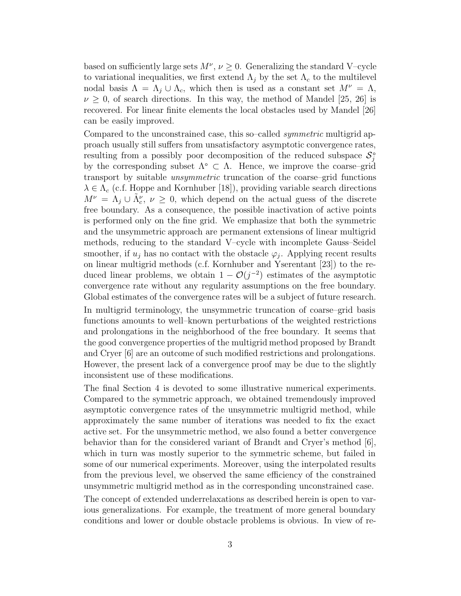based on sufficiently large sets  $M^{\nu}$ ,  $\nu \geq 0$ . Generalizing the standard V–cycle to variational inequalities, we first extend  $\Lambda_j$  by the set  $\Lambda_c$  to the multilevel nodal basis  $\Lambda = \Lambda_j \cup \Lambda_c$ , which then is used as a constant set  $M^{\nu} = \Lambda$ ,  $\nu \geq 0$ , of search directions. In this way, the method of Mandel [25, 26] is recovered. For linear finite elements the local obstacles used by Mandel [26] can be easily improved.

Compared to the unconstrained case, this so–called *symmetric* multigrid approach usually still suffers from unsatisfactory asymptotic convergence rates, resulting from a possibly poor decomposition of the reduced subspace  $S_j^{\circ}$ by the corresponding subset  $\Lambda^{\circ} \subset \Lambda$ . Hence, we improve the coarse–grid transport by suitable *unsymmetric* truncation of the coarse–grid functions  $\lambda \in \Lambda_c$  (c.f. Hoppe and Kornhuber [18]), providing variable search directions  $M^{\nu} = \Lambda_j \cup \tilde{\Lambda}_c^{\nu}, \nu \geq 0$ , which depend on the actual guess of the discrete free boundary. As a consequence, the possible inactivation of active points is performed only on the fine grid. We emphasize that both the symmetric and the unsymmetric approach are permanent extensions of linear multigrid methods, reducing to the standard V–cycle with incomplete Gauss–Seidel smoother, if  $u_j$  has no contact with the obstacle  $\varphi_j$ . Applying recent results on linear multigrid methods (c.f. Kornhuber and Yserentant [23]) to the reduced linear problems, we obtain  $1 - \mathcal{O}(i^{-2})$  estimates of the asymptotic convergence rate without any regularity assumptions on the free boundary. Global estimates of the convergence rates will be a subject of future research.

In multigrid terminology, the unsymmetric truncation of coarse–grid basis functions amounts to well–known perturbations of the weighted restrictions and prolongations in the neighborhood of the free boundary. It seems that the good convergence properties of the multigrid method proposed by Brandt and Cryer [6] are an outcome of such modified restrictions and prolongations. However, the present lack of a convergence proof may be due to the slightly inconsistent use of these modifications.

The final Section 4 is devoted to some illustrative numerical experiments. Compared to the symmetric approach, we obtained tremendously improved asymptotic convergence rates of the unsymmetric multigrid method, while approximately the same number of iterations was needed to fix the exact active set. For the unsymmetric method, we also found a better convergence behavior than for the considered variant of Brandt and Cryer's method [6], which in turn was mostly superior to the symmetric scheme, but failed in some of our numerical experiments. Moreover, using the interpolated results from the previous level, we observed the same efficiency of the constrained unsymmetric multigrid method as in the corresponding unconstrained case.

The concept of extended underrelaxations as described herein is open to various generalizations. For example, the treatment of more general boundary conditions and lower or double obstacle problems is obvious. In view of re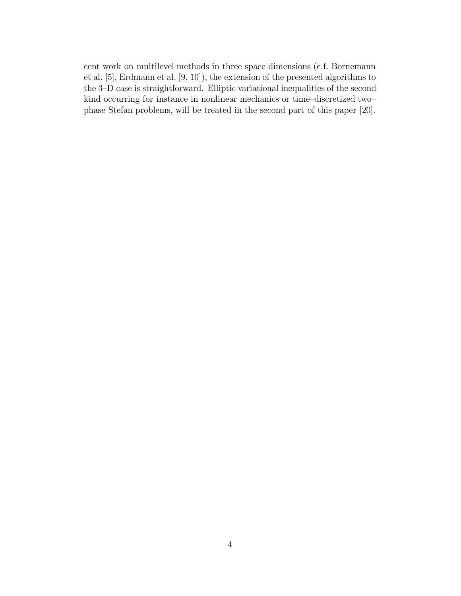cent work on multilevel methods in three space dimensions (c.f. Bornemann et al. [5], Erdmann et al. [9, 10]), the extension of the presented algorithms to the 3–D case is straightforward. Elliptic variational inequalities of the second kind occurring for instance in nonlinear mechanics or time–discretized two– phase Stefan problems, will be treated in the second part of this paper [20].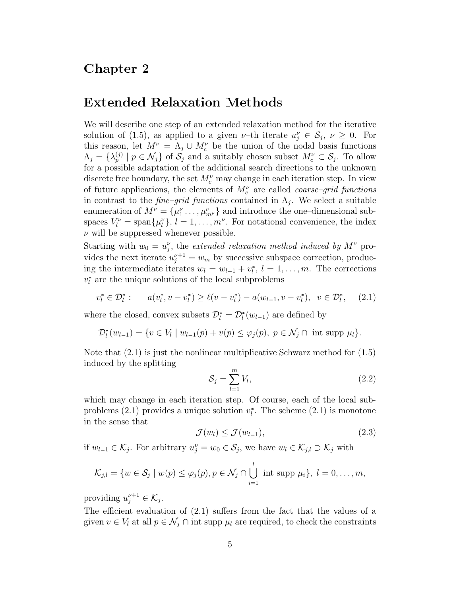#### Chapter 2

# Extended Relaxation Methods

We will describe one step of an extended relaxation method for the iterative solution of (1.5), as applied to a given *ν*-th iterate  $u_j^{\nu} \in S_j$ ,  $\nu \geq 0$ . For this reason, let  $M^{\nu} = \Lambda_j \cup M_c^{\nu}$  be the union of the nodal basis functions  $\Lambda_j = \{\lambda_p^{(j)} \mid p \in \mathcal{N}_j\}$  of  $\mathcal{S}_j$  and a suitably chosen subset  $M_c^{\nu} \subset \mathcal{S}_j$ . To allow for a possible adaptation of the additional search directions to the unknown discrete free boundary, the set  $M_c^{\nu}$  may change in each iteration step. In view of future applications, the elements of  $M_c^{\nu}$  are called *coarse-grid functions* in contrast to the *fine–grid functions* contained in  $\Lambda_i$ . We select a suitable enumeration of  $M^{\nu} = {\mu_1^{\nu} \dots, \mu_{m^{\nu}}}$  and introduce the one-dimensional subspaces  $V_l^{\nu} = \text{span}\{\mu_l^{\nu}\}, \, l = 1, \ldots, m^{\nu}$ . For notational convenience, the index *ν* will be suppressed whenever possible.

Starting with  $w_0 = u_j^{\nu}$ , the *extended relaxation method induced by*  $M^{\nu}$  provides the next iterate  $u_j^{\nu+1} = w_m$  by successive subspace correction, producing the intermediate iterates  $w_l = w_{l-1} + v_l^*$ ,  $l = 1, \ldots, m$ . The corrections  $v_l^*$  are the unique solutions of the local subproblems

$$
v_l^* \in \mathcal{D}_l^* : \qquad a(v_l^*, v - v_l^*) \ge \ell(v - v_l^*) - a(w_{l-1}, v - v_l^*), \quad v \in \mathcal{D}_l^*, \tag{2.1}
$$

where the closed, convex subsets  $\mathcal{D}_{l}^{*} = \mathcal{D}_{l}^{*}(w_{l-1})$  are defined by

$$
\mathcal{D}_{l}^{*}(w_{l-1}) = \{ v \in V_{l} \mid w_{l-1}(p) + v(p) \leq \varphi_{j}(p), \ p \in \mathcal{N}_{j} \cap \text{ int } \text{supp } \mu_{l} \}.
$$

Note that  $(2.1)$  is just the nonlinear multiplicative Schwarz method for  $(1.5)$ induced by the splitting

$$
\mathcal{S}_j = \sum_{l=1}^m V_l,\tag{2.2}
$$

which may change in each iteration step. Of course, each of the local subproblems  $(2.1)$  provides a unique solution  $v_l^*$ . The scheme  $(2.1)$  is monotone in the sense that

$$
\mathcal{J}(w_l) \le \mathcal{J}(w_{l-1}),\tag{2.3}
$$

if  $w_{l-1}$  ∈  $K_j$ . For arbitrary  $u_j^{\nu} = w_0$  ∈  $S_j$ , we have  $w_l$  ∈  $K_{j,l}$  ⊃  $K_j$  with

$$
\mathcal{K}_{j,l} = \{w \in \mathcal{S}_j \mid w(p) \leq \varphi_j(p), p \in \mathcal{N}_j \cap \bigcup_{i=1}^l \text{ int } \text{supp } \mu_i\}, l = 0, \ldots, m,
$$

providing  $u_j^{\nu+1} \in \mathcal{K}_j$ .

The efficient evaluation of (2.1) suffers from the fact that the values of a given  $v \in V_l$  at all  $p \in \mathcal{N}_j \cap \text{int supp } \mu_l$  are required, to check the constraints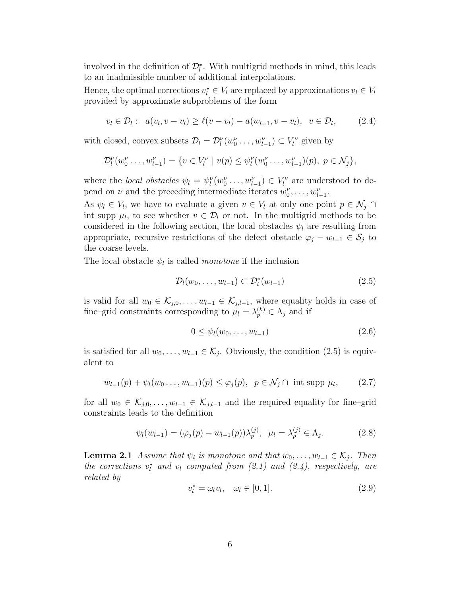involved in the definition of  $\mathcal{D}_{l}^{*}$ . With multigrid methods in mind, this leads to an inadmissible number of additional interpolations.

Hence, the optimal corrections  $v_i^* \in V_l$  are replaced by approximations  $v_l \in V_l$ provided by approximate subproblems of the form

$$
v_l \in \mathcal{D}_l : a(v_l, v - v_l) \ge \ell(v - v_l) - a(w_{l-1}, v - v_l), \ v \in \mathcal{D}_l,
$$
 (2.4)

with closed, convex subsets  $\mathcal{D}_l = \mathcal{D}_l^{\nu}(w_0^{\nu} \dots, w_{l-1}^{\nu}) \subset V_l^{\nu}$  given by

$$
\mathcal{D}_l^{\nu}(w_0^{\nu}\ldots,w_{l-1}^{\nu})=\{v\in V_l^{\nu}\mid v(p)\leq \psi_l^{\nu}(w_0^{\nu}\ldots,w_{l-1}^{\nu})(p),\ p\in \mathcal{N}_j\},\
$$

where the *local obstacles*  $\psi_l = \psi_l^{\nu}(w_0^{\nu} \dots, w_{l-1}^{\nu}) \in V_l^{\nu}$  are understood to depend on *ν* and the preceding intermediate iterates  $w_0^{\nu}, \ldots, w_{l-1}^{\nu}$ .

As  $\psi_l \in V_l$ , we have to evaluate a given  $v \in V_l$  at only one point  $p \in \mathcal{N}_j \cap$ int supp  $\mu_l$ , to see whether  $v \in \mathcal{D}_l$  or not. In the multigrid methods to be considered in the following section, the local obstacles  $\psi_l$  are resulting from appropriate, recursive restrictions of the defect obstacle  $\varphi_j - w_{l-1} \in \mathcal{S}_j$  to the coarse levels.

The local obstacle  $\psi_l$  is called *monotone* if the inclusion

$$
\mathcal{D}_l(w_0,\ldots,w_{l-1}) \subset \mathcal{D}_l^*(w_{l-1})
$$
\n(2.5)

is valid for all  $w_0 \in \mathcal{K}_{j,0}, \ldots, w_{l-1} \in \mathcal{K}_{j,l-1}$ , where equality holds in case of fine–grid constraints corresponding to  $\mu_l = \lambda_p^{(k)} \in \Lambda_j$  and if

$$
0 \leq \psi_l(w_0, \dots, w_{l-1}) \tag{2.6}
$$

is satisfied for all  $w_0, \ldots, w_{l-1} \in \mathcal{K}_j$ . Obviously, the condition (2.5) is equivalent to

$$
w_{l-1}(p) + \psi_l(w_0 \dots, w_{l-1})(p) \le \varphi_j(p), \ \ p \in \mathcal{N}_j \cap \text{ int } \text{supp } \mu_l,
$$
 (2.7)

for all  $w_0 \in \mathcal{K}_{j,0}, \ldots, w_{l-1} \in \mathcal{K}_{j,l-1}$  and the required equality for fine–grid constraints leads to the definition

$$
\psi_l(w_{l-1}) = (\varphi_j(p) - w_{l-1}(p))\lambda_p^{(j)}, \ \mu_l = \lambda_p^{(j)} \in \Lambda_j.
$$
 (2.8)

**Lemma 2.1** *Assume that*  $\psi_l$  *is monotone and that*  $w_0, \ldots, w_{l-1} \in \mathcal{K}_j$ *. Then the corrections*  $v_l^*$  *and*  $v_l$  *computed from* (2.1) *and* (2.4), *respectively, are related by*

$$
v_l^* = \omega_l v_l, \quad \omega_l \in [0, 1]. \tag{2.9}
$$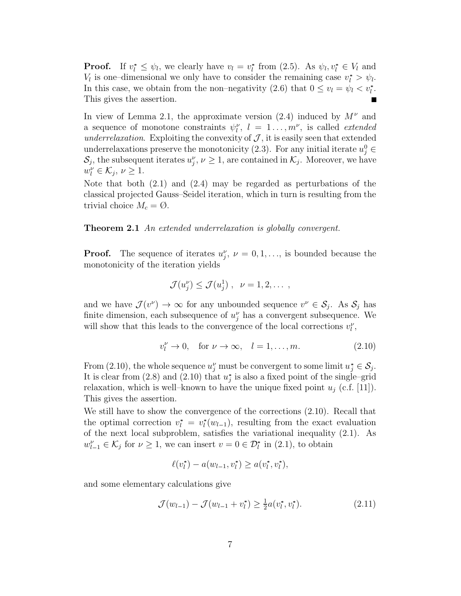**Proof.** If  $v_l^* \leq \psi_l$ , we clearly have  $v_l = v_l^*$  from (2.5). As  $\psi_l, v_l^* \in V_l$  and *V*<sub>*l*</sub> is one–dimensional we only have to consider the remaining case  $v_l^* > \psi_l$ . In this case, we obtain from the non–negativity (2.6) that  $0 \le v_l = \psi_l < v_l^*$ . This gives the assertion.  $\blacksquare$ 

In view of Lemma 2.1, the approximate version  $(2.4)$  induced by  $M^{\nu}$  and a sequence of monotone constraints  $\psi_l^{\nu}$ ,  $l = 1...$ ,  $m^{\nu}$ , is called *extended underrelaxation*. Exploiting the convexity of  $J$ , it is easily seen that extended underrelaxations preserve the monotonicity (2.3). For any initial iterate  $u_j^0 \in$  $\mathcal{S}_j$ , the subsequent iterates  $u_j^{\nu}, \nu \geq 1$ , are contained in  $\mathcal{K}_j$ . Moreover, we have  $w_l^{\nu} \in \mathcal{K}_j, \nu \geq 1.$ 

Note that both (2.1) and (2.4) may be regarded as perturbations of the classical projected Gauss–Seidel iteration, which in turn is resulting from the trivial choice  $M_c = \emptyset$ .

**Theorem 2.1** *An extended underrelaxation is globally convergent.*

**Proof.** The sequence of iterates  $u_j^{\nu}$ ,  $\nu = 0, 1, \ldots$ , is bounded because the monotonicity of the iteration yields

$$
\mathcal{J}(u_j^{\nu}) \leq \mathcal{J}(u_j^1) , \ \nu = 1, 2, \dots ,
$$

and we have  $\mathcal{J}(v^{\nu}) \to \infty$  for any unbounded sequence  $v^{\nu} \in \mathcal{S}_j$ . As  $\mathcal{S}_j$  has finite dimension, each subsequence of  $u_j^{\nu}$  has a convergent subsequence. We will show that this leads to the convergence of the local corrections  $v_l^{\nu}$ ,

$$
v_l^{\nu} \to 0, \quad \text{for } \nu \to \infty, \quad l = 1, \dots, m. \tag{2.10}
$$

From (2.10), the whole sequence  $u_j^{\nu}$  must be convergent to some limit  $u_j^* \in \mathcal{S}_j$ . It is clear from  $(2.8)$  and  $(2.10)$  that  $u_j^*$  is also a fixed point of the single–grid relaxation, which is well–known to have the unique fixed point  $u_j$  (c.f. [11]). This gives the assertion.

We still have to show the convergence of the corrections (2.10). Recall that the optimal correction  $v_l^* = v_l^*(w_{l-1})$ , resulting from the exact evaluation of the next local subproblem, satisfies the variational inequality (2.1). As  $w_{l-1}^{\nu} \in \mathcal{K}_j$  for  $\nu \geq 1$ , we can insert  $v = 0 \in \mathcal{D}_l^*$  in (2.1), to obtain

$$
\ell(v_l^*) - a(w_{l-1}, v_l^*) \ge a(v_l^*, v_l^*),
$$

and some elementary calculations give

$$
\mathcal{J}(w_{l-1}) - \mathcal{J}(w_{l-1} + v_l^*) \ge \frac{1}{2} a(v_l^*, v_l^*).
$$
 (2.11)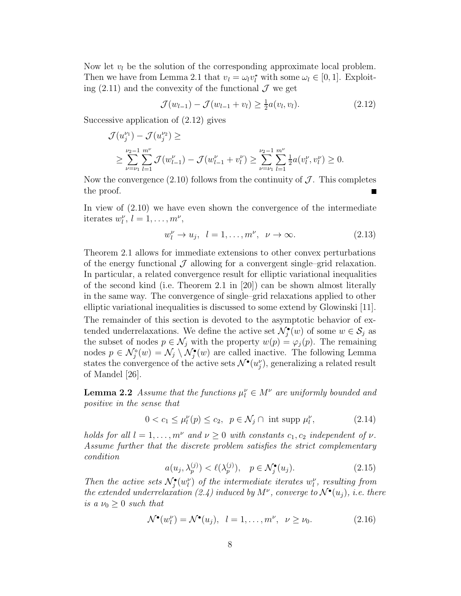Now let  $v_l$  be the solution of the corresponding approximate local problem. Then we have from Lemma 2.1 that  $v_l = \omega_l v_l^*$  with some  $\omega_l \in [0, 1]$ . Exploiting  $(2.11)$  and the convexity of the functional  $\mathcal J$  we get

$$
\mathcal{J}(w_{l-1}) - \mathcal{J}(w_{l-1} + v_l) \ge \frac{1}{2} a(v_l, v_l). \tag{2.12}
$$

Successive application of (2.12) gives

$$
\mathcal{J}(u_j^{\nu_1}) - \mathcal{J}(u_j^{\nu_2}) \ge
$$
  
 
$$
\ge \sum_{\nu=\nu_1}^{\nu_2-1} \sum_{l=1}^{m^{\nu}} \mathcal{J}(w_{l-1}^{\nu}) - \mathcal{J}(w_{l-1}^{\nu} + v_l^{\nu}) \ge \sum_{\nu=\nu_1}^{\nu_2-1} \sum_{l=1}^{m^{\nu}} \frac{1}{2} a(v_l^{\nu}, v_l^{\nu}) \ge 0.
$$

Now the convergence  $(2.10)$  follows from the continuity of  $\mathcal J$ . This completes the proof.

In view of (2.10) we have even shown the convergence of the intermediate iterates  $w_l^{\nu}, l = 1, \ldots, m^{\nu},$ 

$$
w_l^{\nu} \to u_j, \quad l = 1, \dots, m^{\nu}, \quad \nu \to \infty. \tag{2.13}
$$

Theorem 2.1 allows for immediate extensions to other convex perturbations of the energy functional  $\mathcal J$  allowing for a convergent single–grid relaxation. In particular, a related convergence result for elliptic variational inequalities of the second kind (i.e. Theorem 2.1 in [20]) can be shown almost literally in the same way. The convergence of single–grid relaxations applied to other elliptic variational inequalities is discussed to some extend by Glowinski [11].

The remainder of this section is devoted to the asymptotic behavior of extended underrelaxations. We define the active set  $\mathcal{N}_{j}^{\bullet}(w)$  of some  $w \in \mathcal{S}_{j}$  as the subset of nodes  $p \in \mathcal{N}_j$  with the property  $w(p) = \varphi_j(p)$ . The remaining nodes  $p \in \mathcal{N}_j^{\circ}(w) = \mathcal{N}_j \setminus \mathcal{N}_j^{\bullet}(w)$  are called inactive. The following Lemma states the convergence of the active sets  $\mathcal{N}^{\bullet}(u_j^{\nu})$ , generalizing a related result of Mandel [26].

**Lemma 2.2** *Assume that the functions*  $\mu_l^{\nu} \in M^{\nu}$  *are uniformly bounded and positive in the sense that*

$$
0 < c_1 \le \mu_l^{\nu}(p) \le c_2, \ \ p \in \mathcal{N}_j \cap \text{ int } \operatorname{supp} \mu_l^{\nu},\tag{2.14}
$$

*holds for all*  $l = 1, \ldots, m^{\nu}$  *and*  $\nu \geq 0$  *with constants*  $c_1, c_2$  *independent of*  $\nu$ *. Assume further that the discrete problem satisfies the strict complementary condition*

$$
a(u_j, \lambda_p^{(j)}) < \ell(\lambda_p^{(j)}), \quad p \in \mathcal{N}_j^\bullet(u_j). \tag{2.15}
$$

*Then the active sets*  $\mathcal{N}_{j}^{\bullet}(w_{l}^{\nu})$  *of the intermediate iterates*  $w_{l}^{\nu}$ *, resulting from the extended underrelaxation (2.4) induced by*  $M^{\nu}$ , converge to  $\mathcal{N}^{\bullet}(u_i)$ , *i.e. there is a*  $\nu_0 \geq 0$  *such that* 

$$
\mathcal{N}^{\bullet}(w_{l}^{\nu}) = \mathcal{N}^{\bullet}(u_{j}), \quad l = 1, \dots, m^{\nu}, \quad \nu \ge \nu_{0}.
$$
 (2.16)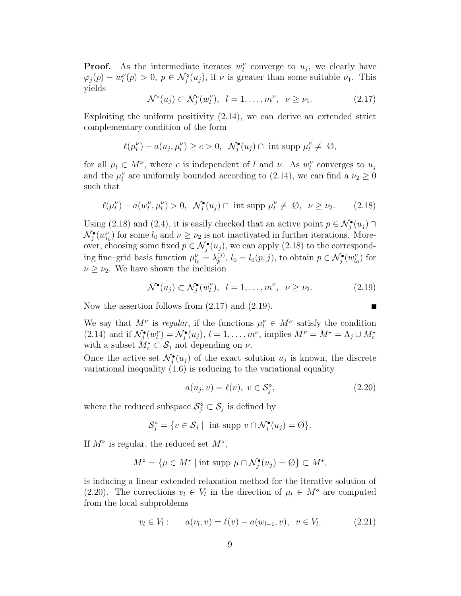**Proof.** As the intermediate iterates  $w_l^{\nu}$  converge to  $u_j$ , we clearly have  $\varphi_j(p) - w_l^{\nu}(p) > 0, p \in \mathcal{N}_j^{\circ}(u_j)$ , if  $\nu$  is greater than some suitable  $\nu_1$ . This yields

$$
\mathcal{N}^{\circ}(u_j) \subset \mathcal{N}_j^{\circ}(w_l^{\nu}), \quad l = 1, \dots, m^{\nu}, \quad \nu \ge \nu_1. \tag{2.17}
$$

Exploiting the uniform positivity  $(2.14)$ , we can derive an extended strict complementary condition of the form

$$
\ell(\mu_l^{\nu}) - a(u_j, \mu_l^{\nu}) \ge c > 0, \ \ \mathcal{N}_j^{\bullet}(u_j) \cap \text{ int } \operatorname{supp} \mu_l^{\nu} \ne \ \emptyset,
$$

for all  $\mu_l \in M^{\nu}$ , where *c* is independent of *l* and *v*. As  $w_l^{\nu}$  converges to  $u_j$ and the  $\mu_l^{\nu}$  are uniformly bounded according to (2.14), we can find a  $\nu_2 \geq 0$ such that

$$
\ell(\mu_l^{\nu}) - a(w_l^{\nu}, \mu_l^{\nu}) > 0, \quad \mathcal{N}_j^{\bullet}(u_j) \cap \text{ int } \operatorname{supp} \mu_l^{\nu} \neq \emptyset, \quad \nu \ge \nu_2. \tag{2.18}
$$

Using (2.18) and (2.4), it is easily checked that an active point  $p \in \mathcal{N}_j^{\bullet}(u_j) \cap$  $\mathcal{N}_j^{\bullet}(w_{l_0}^{\nu})$  for some  $l_0$  and  $\nu \geq \nu_2$  is not inactivated in further iterations. Moreover, choosing some fixed  $p \in \mathcal{N}_j^{\bullet}(u_j)$ , we can apply (2.18) to the corresponding fine–grid basis function  $\mu_{l_0}^{\nu} = \lambda_p^{(j)}$ ,  $l_0 = l_0(p, j)$ , to obtain  $p \in \mathcal{N}_j^{\bullet}(w_{l_0}^{\nu})$  for  $\nu \geq \nu_2$ . We have shown the inclusion

$$
\mathcal{N}^{\bullet}(u_j) \subset \mathcal{N}_j^{\bullet}(w_l^{\nu}), \quad l = 1, \dots, m^{\nu}, \quad \nu \ge \nu_2. \tag{2.19}
$$

Now the assertion follows from (2.17) and (2.19).

We say that 
$$
M^{\nu}
$$
 is regular, if the functions  $\mu_l^{\nu} \in M^{\nu}$  satisfy the condition (2.14) and if  $\mathcal{N}_j^{\bullet}(w_l^{\nu}) = \mathcal{N}_j^{\bullet}(u_j)$ ,  $l = 1, ..., m^{\nu}$ , implies  $M^{\nu} = M^* = \Lambda_j \cup M_c^*$  with a subset  $M_c^* \subset \mathcal{S}_j$  not depending on  $\nu$ .

Once the active set  $\mathcal{N}_j^{\bullet}(u_j)$  of the exact solution  $u_j$  is known, the discrete variational inequality (1.6) is reducing to the variational equality

$$
a(u_j, v) = \ell(v), \ v \in \mathcal{S}_j^{\circ}, \tag{2.20}
$$

where the reduced subspace  $S_j^\circ \subset S_j$  is defined by

$$
\mathcal{S}_j^\circ = \{ v \in \mathcal{S}_j \mid \text{ int } \operatorname{supp} v \cap \mathcal{N}_j^\bullet(u_j) = \emptyset \}.
$$

If  $M^{\nu}$  is regular, the reduced set  $M^{\circ}$ ,

$$
M^{\circ} = \{ \mu \in M^* \mid \text{int supp } \mu \cap \mathcal{N}_j^{\bullet}(u_j) = \emptyset \} \subset M^*,
$$

is inducing a linear extended relaxation method for the iterative solution of (2.20). The corrections  $v_l \in V_l$  in the direction of  $\mu_l \in M^{\circ}$  are computed from the local subproblems

$$
v_l \in V_l : a(v_l, v) = \ell(v) - a(w_{l-1}, v), v \in V_l.
$$
 (2.21)

$$
\blacksquare
$$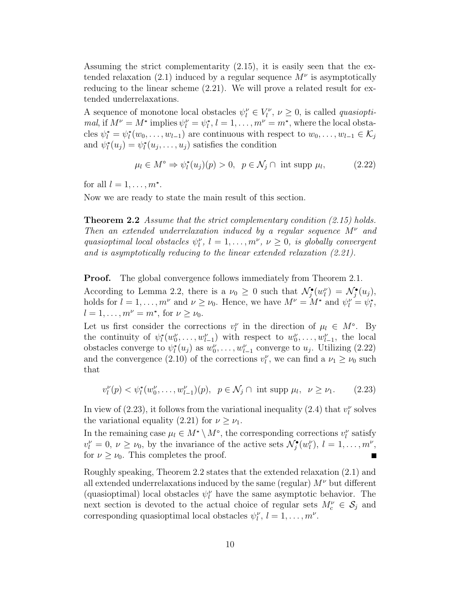Assuming the strict complementarity  $(2.15)$ , it is easily seen that the extended relaxation (2.1) induced by a regular sequence  $M^{\nu}$  is asymptotically reducing to the linear scheme (2.21). We will prove a related result for extended underrelaxations.

A sequence of monotone local obstacles  $\psi_l^{\nu} \in V_l^{\nu}$ ,  $\nu \geq 0$ , is called *quasioptimal*, if  $M^{\nu} = M^*$  implies  $\psi_l^{\nu} = \psi_l^*, l = 1, \ldots, m^{\nu} = m^*$ , where the local obstacles  $\psi_i^* = \psi_i^*(w_0, \ldots, w_{l-1})$  are continuous with respect to  $w_0, \ldots, w_{l-1} \in \mathcal{K}_j$ and  $\psi_l^*(u_j) = \psi_l^*(u_j, \ldots, u_j)$  satisfies the condition

$$
\mu_l \in M^{\circ} \Rightarrow \psi_l^*(u_j)(p) > 0, \ \ p \in \mathcal{N}_j \cap \text{ int } \text{supp } \mu_l,
$$
 (2.22)

for all  $l = 1, ..., m^*$ .

Now we are ready to state the main result of this section.

**Theorem 2.2** *Assume that the strict complementary condition (2.15) holds. Then an extended underrelaxation induced by a regular sequence M<sup>ν</sup> and quasioptimal local obstacles*  $\psi_l^{\nu}$ ,  $l = 1, ..., m^{\nu}$ ,  $\nu \geq 0$ , *is globally convergent and is asymptotically reducing to the linear extended relaxation (2.21).*

**Proof.** The global convergence follows immediately from Theorem 2.1.

According to Lemma 2.2, there is a  $\nu_0 \geq 0$  such that  $\mathcal{N}_j^{\bullet}(w_l^{\nu}) = \mathcal{N}_j^{\bullet}(u_j)$ , holds for  $l = 1, ..., m^{\nu}$  and  $\nu \geq \nu_0$ . Hence, we have  $M^{\nu} = M^*$  and  $\psi_l^{\nu} = \psi_l^*$ ,  $l = 1, \ldots, m^{\nu} = m^*$ , for  $\nu \geq \nu_0$ .

Let us first consider the corrections  $v_l^{\nu}$  in the direction of  $\mu_l \in M^{\circ}$ . By the continuity of  $\psi_l^*(w_0^{\nu}, \ldots, w_{l-1}^{\nu})$  with respect to  $w_0^{\nu}, \ldots, w_{l-1}^{\nu}$ , the local obstacles converge to  $\psi_l^*(u_j)$  as  $w_0^{\nu}, \ldots, w_{l-1}^{\nu}$  converge to  $u_j$ . Utilizing (2.22) and the convergence (2.10) of the corrections  $v_l^{\nu}$ , we can find a  $\nu_1 \geq \nu_0$  such that

 $v_l^{\nu}(p) < \psi_l^*(w_0^{\nu}, \dots, w_{l-1}^{\nu})(p), \ p \in \mathcal{N}_j \cap \text{int supp } \mu_l, \ \nu \ge \nu_1.$  (2.23)

In view of  $(2.23)$ , it follows from the variational inequality  $(2.4)$  that  $v_l^{\nu}$  solves the variational equality (2.21) for  $\nu \geq \nu_1$ .

In the remaining case  $\mu_l \in M^* \setminus M^{\circ}$ , the corresponding corrections  $v_l^{\nu}$  satisfy  $v_l^{\nu} = 0, \nu \ge \nu_0$ , by the invariance of the active sets  $\mathcal{N}_j^{\bullet}(w_l^{\nu}), l = 1, \ldots, m^{\nu}$ , for  $\nu \geq \nu_0$ . This completes the proof.

Roughly speaking, Theorem 2.2 states that the extended relaxation (2.1) and all extended underrelaxations induced by the same (regular)  $M^{\nu}$  but different (quasioptimal) local obstacles  $\psi_l^{\nu}$  have the same asymptotic behavior. The next section is devoted to the actual choice of regular sets  $M_c^{\nu} \in \mathcal{S}_j$  and corresponding quasioptimal local obstacles  $\psi_l^{\nu}, l = 1, \ldots, m^{\nu}$ .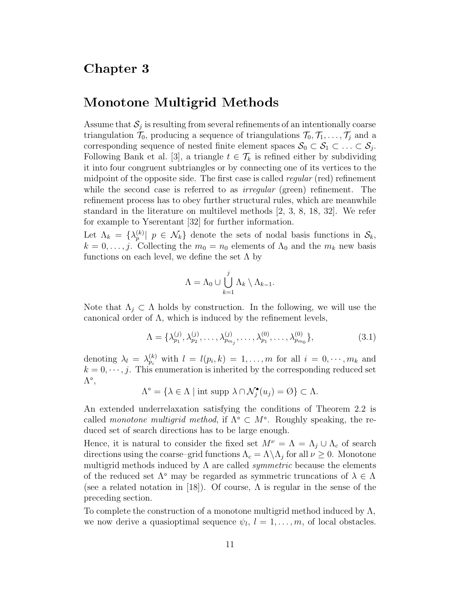#### Chapter 3

#### Monotone Multigrid Methods

Assume that  $S_j$  is resulting from several refinements of an intentionally coarse triangulation  $\mathcal{T}_0$ , producing a sequence of triangulations  $\mathcal{T}_0, \mathcal{T}_1, \ldots, \mathcal{T}_j$  and a corresponding sequence of nested finite element spaces  $S_0 \subset S_1 \subset \ldots \subset S_j$ . Following Bank et al. [3], a triangle  $t \in \mathcal{T}_k$  is refined either by subdividing it into four congruent subtriangles or by connecting one of its vertices to the midpoint of the opposite side. The first case is called *regular* (red) refinement while the second case is referred to as *irregular* (green) refinement. The refinement process has to obey further structural rules, which are meanwhile standard in the literature on multilevel methods [2, 3, 8, 18, 32]. We refer for example to Yserentant [32] for further information.

Let  $\Lambda_k = \{\lambda_p^{(k)} | p \in \mathcal{N}_k\}$  denote the sets of nodal basis functions in  $\mathcal{S}_k$ ,  $k = 0, \ldots, j$ . Collecting the  $m_0 = n_0$  elements of  $\Lambda_0$  and the  $m_k$  new basis functions on each level, we define the set  $\Lambda$  by

$$
\Lambda = \Lambda_0 \cup \bigcup_{k=1}^j \Lambda_k \setminus \Lambda_{k-1}.
$$

Note that  $\Lambda_j \subset \Lambda$  holds by construction. In the following, we will use the canonical order of  $\Lambda$ , which is induced by the refinement levels,

$$
\Lambda = \{\lambda_{p_1}^{(j)}, \lambda_{p_2}^{(j)}, \dots, \lambda_{p_{m_j}}^{(j)}, \dots, \lambda_{p_1}^{(0)}, \dots, \lambda_{p_{m_0}}^{(0)}\},\tag{3.1}
$$

denoting  $\lambda_l = \lambda_{p_i}^{(k)}$  with  $l = l(p_i, k) = 1, \ldots, m$  for all  $i = 0, \ldots, m_k$  and  $k = 0, \dots, j$ . This enumeration is inherited by the corresponding reduced set Λ*◦*,

$$
\Lambda^{\circ} = \{ \lambda \in \Lambda \mid \text{int supp } \lambda \cap \mathcal{N}_j^{\bullet}(u_j) = \emptyset \} \subset \Lambda.
$$

An extended underrelaxation satisfying the conditions of Theorem 2.2 is called *monotone multigrid method*, if Λ*◦* ⊂ *M◦*. Roughly speaking, the reduced set of search directions has to be large enough.

Hence, it is natural to consider the fixed set  $M^{\nu} = \Lambda = \Lambda_j \cup \Lambda_c$  of search directions using the coarse–grid functions  $\Lambda_c = \Lambda \backslash \Lambda_j$  for all  $\nu \geq 0$ . Monotone multigrid methods induced by  $\Lambda$  are called *symmetric* because the elements of the reduced set Λ*◦* may be regarded as symmetric truncations of *λ* ∈ Λ (see a related notation in [18]). Of course,  $\Lambda$  is regular in the sense of the preceding section.

To complete the construction of a monotone multigrid method induced by  $\Lambda$ , we now derive a quasioptimal sequence  $\psi_l$ ,  $l = 1, \ldots, m$ , of local obstacles.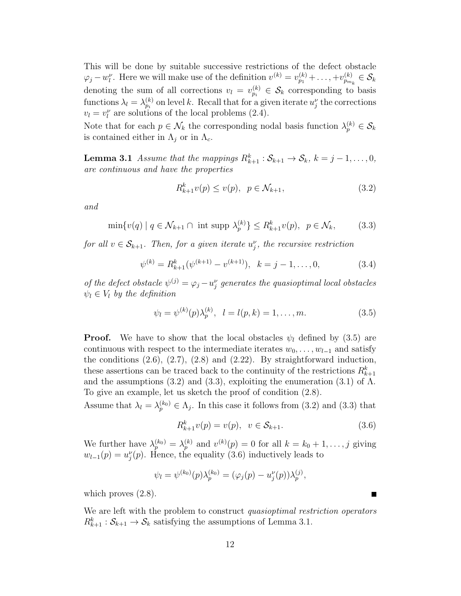This will be done by suitable successive restrictions of the defect obstacle  $\varphi_j - w_l^{\nu}$ . Here we will make use of the definition  $v^{(k)} = v_{p_1}^{(k)} + \ldots, +v_{p_{m_k}}^{(k)} \in \mathcal{S}_k$ denoting the sum of all corrections  $v_l = v_{p_i}^{(k)} \in \mathcal{S}_k$  corresponding to basis functions  $\lambda_l = \lambda_{p_i}^{(k)}$  on level *k*. Recall that for a given iterate  $u_j^{\nu}$  the corrections  $v_l = v_l^{\nu}$  are solutions of the local problems (2.4).

Note that for each  $p \in \mathcal{N}_k$  the corresponding nodal basis function  $\lambda_p^{(k)} \in \mathcal{S}_k$ is contained either in  $\Lambda_i$  or in  $\Lambda_c$ .

**Lemma 3.1** *Assume that the mappings*  $R_{k+1}^k$  :  $S_{k+1} \to S_k$ ,  $k = j - 1, \ldots, 0$ , *are continuous and have the properties*

$$
R_{k+1}^k v(p) \le v(p), \ \ p \in \mathcal{N}_{k+1}, \tag{3.2}
$$

*and*

 $\min\{v(q) \mid q \in \mathcal{N}_{k+1} \cap \text{ int } \text{supp } \lambda_p^{(k)}\} \le R_{k+1}^k v(p), \ \ p \in \mathcal{N}_k,$  (3.3)

*for all*  $v \in S_{k+1}$ *. Then, for a given iterate*  $u_j^{\nu}$ *, the recursive restriction* 

$$
\psi^{(k)} = R_{k+1}^k(\psi^{(k+1)} - v^{(k+1)}), \quad k = j - 1, \dots, 0,
$$
\n(3.4)

*of the defect obstacle*  $\psi^{(j)} = \varphi_j - u_j^{\nu}$  *generates the quasioptimal local obstacles*  $\psi_l \in V_l$  *by the definition* 

$$
\psi_l = \psi^{(k)}(p)\lambda_p^{(k)}, \quad l = l(p,k) = 1,\dots, m.
$$
\n(3.5)

**Proof.** We have to show that the local obstacles  $\psi_l$  defined by (3.5) are continuous with respect to the intermediate iterates  $w_0, \ldots, w_{l-1}$  and satisfy the conditions  $(2.6)$ ,  $(2.7)$ ,  $(2.8)$  and  $(2.22)$ . By straightforward induction, these assertions can be traced back to the continuity of the restrictions  $R_{k+1}^k$ and the assumptions (3.2) and (3.3), exploiting the enumeration (3.1) of  $\Lambda$ . To give an example, let us sketch the proof of condition (2.8).

Assume that  $\lambda_l = \lambda_p^{(k_0)} \in \Lambda_j$ . In this case it follows from (3.2) and (3.3) that

$$
R_{k+1}^k v(p) = v(p), \ \ v \in \mathcal{S}_{k+1}.
$$
\n(3.6)

We further have  $\lambda_p^{(k_0)} = \lambda_p^{(k)}$  and  $v^{(k)}(p) = 0$  for all  $k = k_0 + 1, \ldots, j$  giving  $w_{l-1}(p) = u_j^{\nu}(p)$ . Hence, the equality (3.6) inductively leads to

$$
\psi_l = \psi^{(k_0)}(p)\lambda_p^{(k_0)} = (\varphi_j(p) - u_j^{\nu}(p))\lambda_p^{(j)},
$$

which proves  $(2.8)$ .

We are left with the problem to construct *quasioptimal restriction operators*  $R_{k+1}^k: \mathcal{S}_{k+1} \to \mathcal{S}_k$  satisfying the assumptions of Lemma 3.1.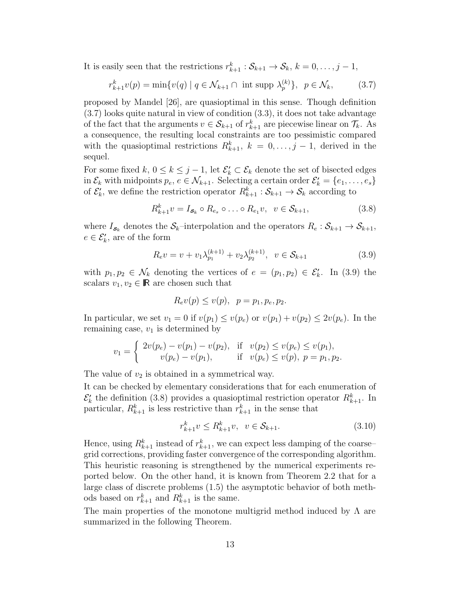It is easily seen that the restrictions  $r_{k+1}^k : \mathcal{S}_{k+1} \to \mathcal{S}_k$ ,  $k = 0, \ldots, j-1$ ,

$$
r_{k+1}^k v(p) = \min\{v(q) \mid q \in \mathcal{N}_{k+1} \cap \text{ int } \text{supp } \lambda_p^{(k)}\}, \ \ p \in \mathcal{N}_k,
$$
 (3.7)

proposed by Mandel [26], are quasioptimal in this sense. Though definition (3.7) looks quite natural in view of condition (3.3), it does not take advantage of the fact that the arguments  $v \in S_{k+1}$  of  $r_{k+1}^k$  are piecewise linear on  $\mathcal{T}_k$ . As a consequence, the resulting local constraints are too pessimistic compared with the quasioptimal restrictions  $R_{k+1}^k$ ,  $k = 0, \ldots, j-1$ , derived in the sequel.

For some fixed  $k, 0 \leq k \leq j-1$ , let  $\mathcal{E}'_k \subset \mathcal{E}_k$  denote the set of bisected edges in  $\mathcal{E}_k$  with midpoints  $p_e, e \in \mathcal{N}_{k+1}$ . Selecting a certain order  $\mathcal{E}'_k = \{e_1, \ldots, e_s\}$ of  $\mathcal{E}'_k$ , we define the restriction operator  $R_{k+1}^k : \mathcal{S}_{k+1} \to \mathcal{S}_k$  according to

$$
R_{k+1}^k v = I_{\mathbf{s}_k} \circ R_{e_s} \circ \dots \circ R_{e_1} v, \ \ v \in \mathcal{S}_{k+1},\tag{3.8}
$$

where  $I_{s_k}$  denotes the  $S_k$ –interpolation and the operators  $R_e: S_{k+1} \to S_{k+1}$ ,  $e \in \mathcal{E}'_k$ , are of the form

$$
R_{e}v = v + v_1 \lambda_{p_1}^{(k+1)} + v_2 \lambda_{p_2}^{(k+1)}, \ \ v \in \mathcal{S}_{k+1}
$$
 (3.9)

with  $p_1, p_2 \in \mathcal{N}_k$  denoting the vertices of  $e = (p_1, p_2) \in \mathcal{E}'_k$ . In (3.9) the scalars  $v_1, v_2 \in \mathbb{R}$  are chosen such that

$$
R_e v(p) \le v(p), \ \ p = p_1, p_e, p_2.
$$

In particular, we set  $v_1 = 0$  if  $v(p_1) \le v(p_e)$  or  $v(p_1) + v(p_2) \le 2v(p_e)$ . In the remaining case,  $v_1$  is determined by

$$
v_1 = \begin{cases} 2v(p_e) - v(p_1) - v(p_2), & \text{if } v(p_2) \le v(p_e) \le v(p_1), \\ v(p_e) - v(p_1), & \text{if } v(p_e) \le v(p), \ p = p_1, p_2. \end{cases}
$$

The value of  $v_2$  is obtained in a symmetrical way.

It can be checked by elementary considerations that for each enumeration of  $\mathcal{E}'_k$  the definition (3.8) provides a quasioptimal restriction operator  $R_{k+1}^k$ . In particular,  $R_{k+1}^k$  is less restrictive than  $r_{k+1}^k$  in the sense that

$$
r_{k+1}^k v \le R_{k+1}^k v, \ \ v \in \mathcal{S}_{k+1}.\tag{3.10}
$$

Hence, using  $R_{k+1}^k$  instead of  $r_{k+1}^k$ , we can expect less damping of the coarse– grid corrections, providing faster convergence of the corresponding algorithm. This heuristic reasoning is strengthened by the numerical experiments reported below. On the other hand, it is known from Theorem 2.2 that for a large class of discrete problems (1.5) the asymptotic behavior of both methods based on  $r_{k+1}^k$  and  $R_{k+1}^k$  is the same.

The main properties of the monotone multigrid method induced by  $\Lambda$  are summarized in the following Theorem.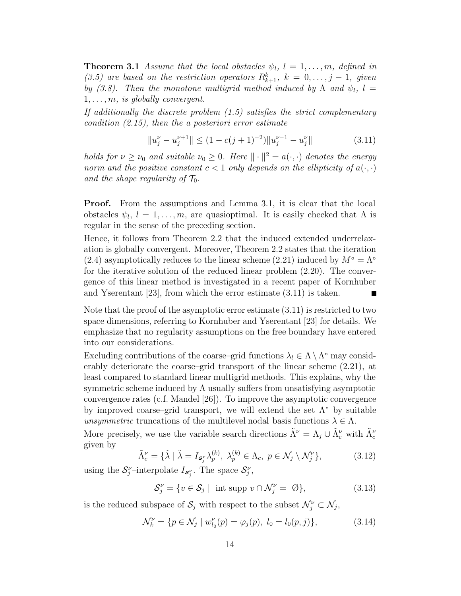**Theorem 3.1** *Assume that the local obstacles*  $\psi_l$ ,  $l = 1, \ldots, m$ *, defined in (3.5)* are based on the restriction operators  $R_{k+1}^k$ ,  $k = 0, \ldots, j-1$ , given *by* (3.8). Then the monotone multigrid method induced by  $\Lambda$  and  $\psi_l$ ,  $l =$ 1*,...,m, is globally convergent.*

*If additionally the discrete problem (1.5) satisfies the strict complementary condition (2.15), then the a posteriori error estimate*

$$
||u_j^{\nu} - u_j^{\nu+1}|| \le (1 - c(j+1)^{-2})||u_j^{\nu-1} - u_j^{\nu}|| \tag{3.11}
$$

*holds for*  $\nu \geq \nu_0$  *and suitable*  $\nu_0 \geq 0$ *. Here*  $\|\cdot\|^2 = a(\cdot, \cdot)$  *denotes the energy norm and the positive constant*  $c < 1$  *only depends on the ellipticity of*  $a(\cdot, \cdot)$ and the shape regularity of  $\mathcal{T}_0$ .

**Proof.** From the assumptions and Lemma 3.1, it is clear that the local obstacles  $\psi_l$ ,  $l = 1, \ldots, m$ , are quasioptimal. It is easily checked that  $\Lambda$  is regular in the sense of the preceding section.

Hence, it follows from Theorem 2.2 that the induced extended underrelaxation is globally convergent. Moreover, Theorem 2.2 states that the iteration (2.4) asymptotically reduces to the linear scheme (2.21) induced by  $M^\circ = \Lambda^\circ$ for the iterative solution of the reduced linear problem (2.20). The convergence of this linear method is investigated in a recent paper of Kornhuber and Yserentant [23], from which the error estimate (3.11) is taken.

Note that the proof of the asymptotic error estimate (3.11) is restricted to two space dimensions, referring to Kornhuber and Yserentant [23] for details. We emphasize that no regularity assumptions on the free boundary have entered into our considerations.

Excluding contributions of the coarse–grid functions  $\lambda_l \in \Lambda \setminus \Lambda^{\circ}$  may considerably deteriorate the coarse–grid transport of the linear scheme (2.21), at least compared to standard linear multigrid methods. This explains, why the symmetric scheme induced by  $\Lambda$  usually suffers from unsatisfying asymptotic convergence rates (c.f. Mandel [26]). To improve the asymptotic convergence by improved coarse–grid transport, we will extend the set Λ*◦* by suitable *unsymmetric* truncations of the multilevel nodal basis functions  $\lambda \in \Lambda$ .

More precisely, we use the variable search directions  $\tilde{\Lambda}^{\nu} = \Lambda_j \cup \tilde{\Lambda}^{\nu}_c$  with  $\tilde{\Lambda}^{\nu}_c$ given by

$$
\tilde{\Lambda}_c^{\nu} = \{ \tilde{\lambda} \mid \tilde{\lambda} = I_{\mathcal{S}_j^{\nu}} \lambda_p^{(k)}, \ \lambda_p^{(k)} \in \Lambda_c, \ p \in \mathcal{N}_j \setminus \mathcal{N}_j^{\nu} \},\tag{3.12}
$$

using the  $S_j^{\nu}$ -interpolate  $I_{S_j^{\nu}}$ . The space  $S_j^{\nu}$ ,

$$
\mathcal{S}_j^{\nu} = \{ v \in \mathcal{S}_j \mid \text{ int } \text{supp } v \cap \mathcal{N}_j^{\nu} = \emptyset \},\tag{3.13}
$$

is the reduced subspace of  $\mathcal{S}_j$  with respect to the subset  $\mathcal{N}_j^{\nu} \subset \mathcal{N}_j$ ,

$$
\mathcal{N}_k^{\nu} = \{ p \in \mathcal{N}_j \mid w_{l_0}^{\nu}(p) = \varphi_j(p), \ l_0 = l_0(p, j) \},\tag{3.14}
$$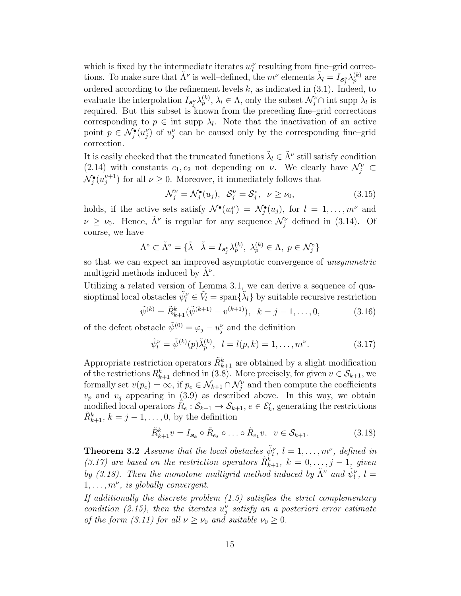which is fixed by the intermediate iterates  $w_l^{\nu}$  resulting from fine–grid corrections. To make sure that  $\tilde{\Lambda}^{\nu}$  is well–defined, the  $m^{\nu}$  elements  $\tilde{\lambda}_l = I_{\mathcal{S}^{\nu}_j} \lambda_p^{(k)}$  are ordered according to the refinement levels  $k$ , as indicated in  $(3.1)$ . Indeed, to evaluate the interpolation  $I_{\mathcal{S}'_j} \lambda_p^{(k)}$ ,  $\lambda_l \in \Lambda$ , only the subset  $\mathcal{N}'_j \cap$  int supp  $\lambda_l$  is required. But this subset is known from the preceding fine–grid corrections corresponding to  $p \in \text{int supp } \lambda_l$ . Note that the inactivation of an active point  $p \in \mathcal{N}_j^{\bullet}(u_j^{\nu})$  of  $u_j^{\nu}$  can be caused only by the corresponding fine–grid correction.

It is easily checked that the truncated functions  $\tilde{\lambda}_l \in \tilde{\Lambda}^{\nu}$  still satisfy condition (2.14) with constants  $c_1, c_2$  not depending on  $\nu$ . We clearly have  $\mathcal{N}_j^{\nu} \subset$  $\mathcal{N}_j^{\bullet}(u_j^{\nu+1})$  for all  $\nu \geq 0$ . Moreover, it immediately follows that

$$
\mathcal{N}_j^{\nu} = \mathcal{N}_j^{\bullet}(u_j), \quad \mathcal{S}_j^{\nu} = \mathcal{S}_j^{\circ}, \quad \nu \ge \nu_0,\tag{3.15}
$$

holds, if the active sets satisfy  $\mathcal{N}^{\bullet}(w_l^{\nu}) = \mathcal{N}^{\bullet}_j(u_j)$ , for  $l = 1, \ldots, m^{\nu}$  and  $\nu \geq \nu_0$ . Hence,  $\tilde{\Lambda}^{\nu}$  is regular for any sequence  $\mathcal{N}_j^{\nu}$  defined in (3.14). Of course, we have

$$
\Lambda^{\circ} \subset \tilde{\Lambda}^{\circ} = \{ \tilde{\lambda} \mid \tilde{\lambda} = I_{\mathcal{S}_{j}^{\circ}} \lambda_{p}^{(k)}, \ \lambda_{p}^{(k)} \in \Lambda, \ p \in \mathcal{N}_{j}^{\circ} \}
$$

so that we can expect an improved asymptotic convergence of *unsymmetric* multigrid methods induced by Λ˜ *<sup>ν</sup>*.

Utilizing a related version of Lemma 3.1, we can derive a sequence of quasioptimal local obstacles  $\tilde{\psi}_l^{\nu} \in \tilde{V}_l = \text{span}\{\tilde{\lambda}_l\}$  by suitable recursive restriction

$$
\tilde{\psi}^{(k)} = \tilde{R}_{k+1}^k (\tilde{\psi}^{(k+1)} - v^{(k+1)}), \ \ k = j - 1, \dots, 0,
$$
\n(3.16)

of the defect obstacle  $\tilde{\psi}^{(0)} = \varphi_j - u_j^{\nu}$  and the definition

$$
\tilde{\psi}_l^{\nu} = \tilde{\psi}^{(k)}(p)\tilde{\lambda}_p^{(k)}, \quad l = l(p, k) = 1, \dots, m^{\nu}.
$$
\n(3.17)

Appropriate restriction operators  $\tilde{R}_{k+1}^k$  are obtained by a slight modification of the restrictions  $R_{k+1}^k$  defined in (3.8). More precisely, for given  $v \in \mathcal{S}_{k+1}$ , we formally set  $v(p_e) = \infty$ , if  $p_e \in \mathcal{N}_{k+1} \cap \mathcal{N}_j^{\nu}$  and then compute the coefficients  $v_p$  and  $v_q$  appearing in (3.9) as described above. In this way, we obtain modified local operators  $\tilde{R}_e : \mathcal{S}_{k+1} \to \mathcal{S}_{k+1}, e \in \mathcal{E}'_k$ , generating the restrictions  $\tilde{R}_{k+1}^k$ ,  $k = j - 1, \ldots, 0$ , by the definition

$$
\tilde{R}_{k+1}^k v = I_{\mathbf{s}_k} \circ \tilde{R}_{e_s} \circ \dots \circ \tilde{R}_{e_1} v, \ \ v \in \mathcal{S}_{k+1}.
$$
\n(3.18)

**Theorem 3.2** *Assume that the local obstacles*  $\tilde{\psi}_l^{\nu}$ ,  $l = 1, \ldots, m^{\nu}$ , defined in *(3.17)* are based on the restriction operators  $\tilde{R}_{k+1}^k$ ,  $k = 0, \ldots, j-1$ , given *by* (3.18). Then the monotone multigrid method induced by  $\tilde{\Lambda}^{\nu}$  and  $\tilde{\psi}^{\nu}_l$ ,  $l =$ 1*,...,m<sup>ν</sup>, is globally convergent.*

*If additionally the discrete problem (1.5) satisfies the strict complementary condition (2.15), then the iterates*  $u_j^{\nu}$  *satisfy an a posteriori error estimate of the form (3.11) for all*  $\nu \geq \nu_0$  *and suitable*  $\nu_0 \geq 0$ *.*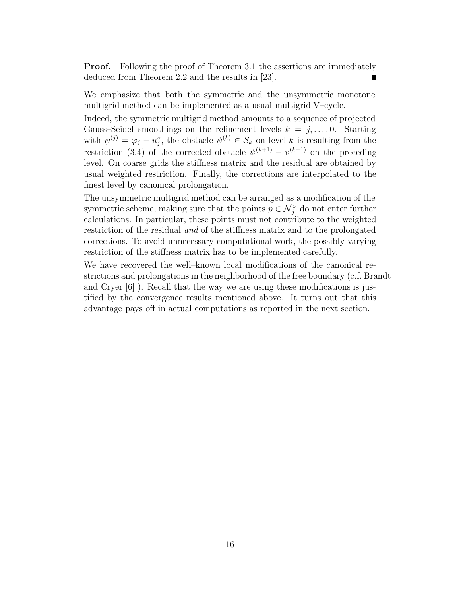**Proof.** Following the proof of Theorem 3.1 the assertions are immediately deduced from Theorem 2.2 and the results in [23].

We emphasize that both the symmetric and the unsymmetric monotone multigrid method can be implemented as a usual multigrid V–cycle.

Indeed, the symmetric multigrid method amounts to a sequence of projected Gauss–Seidel smoothings on the refinement levels  $k = j, \ldots, 0$ . Starting with  $\psi^{(j)} = \varphi_j - u_j^{\nu}$ , the obstacle  $\psi^{(k)} \in \mathcal{S}_k$  on level *k* is resulting from the restriction (3.4) of the corrected obstacle  $\psi^{(k+1)} - v^{(k+1)}$  on the preceding level. On coarse grids the stiffness matrix and the residual are obtained by usual weighted restriction. Finally, the corrections are interpolated to the finest level by canonical prolongation.

The unsymmetric multigrid method can be arranged as a modification of the symmetric scheme, making sure that the points  $p \in \mathcal{N}_j^{\nu}$  do not enter further calculations. In particular, these points must not contribute to the weighted restriction of the residual *and* of the stiffness matrix and to the prolongated corrections. To avoid unnecessary computational work, the possibly varying restriction of the stiffness matrix has to be implemented carefully.

We have recovered the well–known local modifications of the canonical restrictions and prolongations in the neighborhood of the free boundary (c.f. Brandt and Cryer [6] ). Recall that the way we are using these modifications is justified by the convergence results mentioned above. It turns out that this advantage pays off in actual computations as reported in the next section.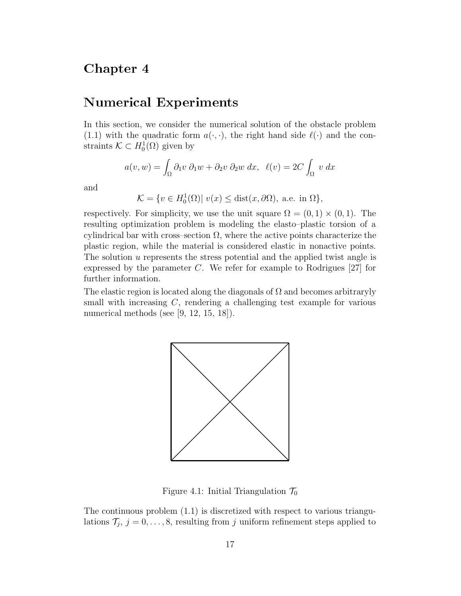## Chapter 4

#### Numerical Experiments

In this section, we consider the numerical solution of the obstacle problem (1.1) with the quadratic form  $a(\cdot, \cdot)$ , the right hand side  $\ell(\cdot)$  and the constraints  $\mathcal{K} \subset H_0^1(\Omega)$  given by

$$
a(v, w) = \int_{\Omega} \partial_1 v \ \partial_1 w + \partial_2 v \ \partial_2 w \ dx, \ \ell(v) = 2C \int_{\Omega} v \ dx
$$

and

 $\mathcal{K} = \{ v \in H_0^1(\Omega) | v(x) \leq \text{dist}(x, \partial \Omega), \text{ a.e. in } \Omega \},$ 

respectively. For simplicity, we use the unit square  $\Omega = (0,1) \times (0,1)$ . The resulting optimization problem is modeling the elasto–plastic torsion of a cylindrical bar with cross–section  $\Omega$ , where the active points characterize the plastic region, while the material is considered elastic in nonactive points. The solution *u* represents the stress potential and the applied twist angle is expressed by the parameter *C*. We refer for example to Rodrigues [27] for further information.

The elastic region is located along the diagonals of  $\Omega$  and becomes arbitraryly small with increasing *C*, rendering a challenging test example for various numerical methods (see [9, 12, 15, 18]).



Figure 4.1: Initial Triangulation  $\mathcal{T}_0$ 

The continuous problem (1.1) is discretized with respect to various triangulations  $\mathcal{T}_j$ ,  $j = 0, \ldots, 8$ , resulting from *j* uniform refinement steps applied to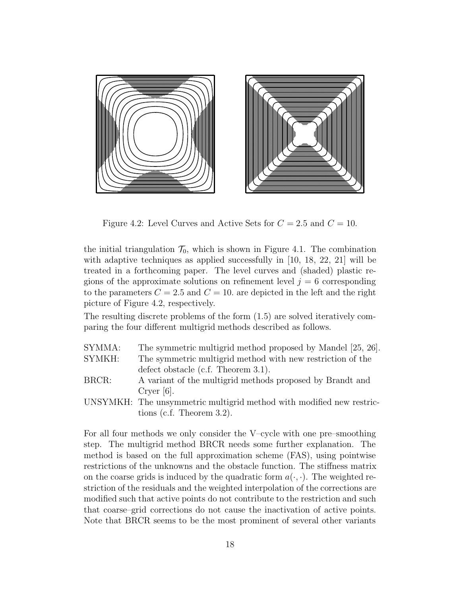

Figure 4.2: Level Curves and Active Sets for  $C = 2.5$  and  $C = 10$ .

the initial triangulation  $\mathcal{T}_0$ , which is shown in Figure 4.1. The combination with adaptive techniques as applied successfully in [10, 18, 22, 21] will be treated in a forthcoming paper. The level curves and (shaded) plastic regions of the approximate solutions on refinement level  $j = 6$  corresponding to the parameters  $C = 2.5$  and  $C = 10$ , are depicted in the left and the right picture of Figure 4.2, respectively.

The resulting discrete problems of the form (1.5) are solved iteratively comparing the four different multigrid methods described as follows.

- SYMMA: The symmetric multigrid method proposed by Mandel [25, 26]. SYMKH: The symmetric multigrid method with new restriction of the defect obstacle (c.f. Theorem 3.1).
- BRCR: A variant of the multigrid methods proposed by Brandt and Cryer [6].
- UNSYMKH: The unsymmetric multigrid method with modified new restrictions (c.f. Theorem 3.2).

For all four methods we only consider the V–cycle with one pre–smoothing step. The multigrid method BRCR needs some further explanation. The method is based on the full approximation scheme (FAS), using pointwise restrictions of the unknowns and the obstacle function. The stiffness matrix on the coarse grids is induced by the quadratic form  $a(\cdot, \cdot)$ . The weighted restriction of the residuals and the weighted interpolation of the corrections are modified such that active points do not contribute to the restriction and such that coarse–grid corrections do not cause the inactivation of active points. Note that BRCR seems to be the most prominent of several other variants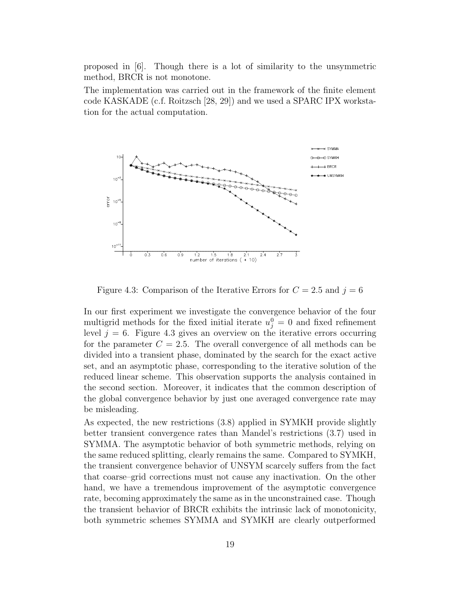proposed in [6]. Though there is a lot of similarity to the unsymmetric method, BRCR is not monotone.

The implementation was carried out in the framework of the finite element code KASKADE (c.f. Roitzsch [28, 29]) and we used a SPARC IPX workstation for the actual computation.



Figure 4.3: Comparison of the Iterative Errors for  $C = 2.5$  and  $j = 6$ 

In our first experiment we investigate the convergence behavior of the four multigrid methods for the fixed initial iterate  $u_j^0 = 0$  and fixed refinement level  $j = 6$ . Figure 4.3 gives an overview on the iterative errors occurring for the parameter  $C = 2.5$ . The overall convergence of all methods can be divided into a transient phase, dominated by the search for the exact active set, and an asymptotic phase, corresponding to the iterative solution of the reduced linear scheme. This observation supports the analysis contained in the second section. Moreover, it indicates that the common description of the global convergence behavior by just one averaged convergence rate may be misleading.

As expected, the new restrictions (3.8) applied in SYMKH provide slightly better transient convergence rates than Mandel's restrictions (3.7) used in SYMMA. The asymptotic behavior of both symmetric methods, relying on the same reduced splitting, clearly remains the same. Compared to SYMKH, the transient convergence behavior of UNSYM scarcely suffers from the fact that coarse–grid corrections must not cause any inactivation. On the other hand, we have a tremendous improvement of the asymptotic convergence rate, becoming approximately the same as in the unconstrained case. Though the transient behavior of BRCR exhibits the intrinsic lack of monotonicity, both symmetric schemes SYMMA and SYMKH are clearly outperformed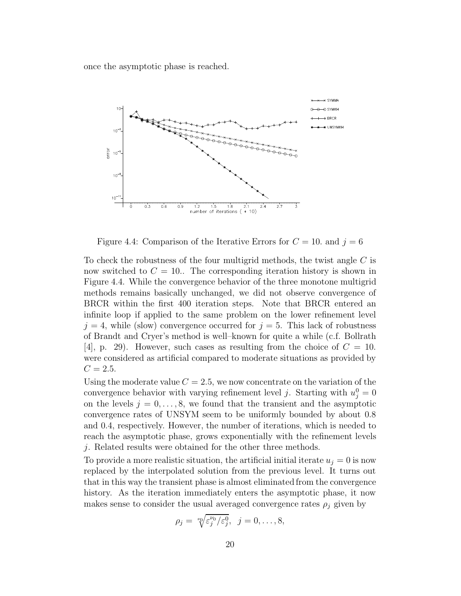once the asymptotic phase is reached.



Figure 4.4: Comparison of the Iterative Errors for  $C = 10$ . and  $j = 6$ 

To check the robustness of the four multigrid methods, the twist angle *C* is now switched to  $C = 10$ . The corresponding iteration history is shown in Figure 4.4. While the convergence behavior of the three monotone multigrid methods remains basically unchanged, we did not observe convergence of BRCR within the first 400 iteration steps. Note that BRCR entered an infinite loop if applied to the same problem on the lower refinement level  $j = 4$ , while (slow) convergence occurred for  $j = 5$ . This lack of robustness of Brandt and Cryer's method is well–known for quite a while (c.f. Bollrath [4], p. 29). However, such cases as resulting from the choice of  $C = 10$ . were considered as artificial compared to moderate situations as provided by  $C = 2.5.$ 

Using the moderate value  $C = 2.5$ , we now concentrate on the variation of the convergence behavior with varying refinement level *j*. Starting with  $u_j^0 = 0$ on the levels  $j = 0, \ldots, 8$ , we found that the transient and the asymptotic convergence rates of UNSYM seem to be uniformly bounded by about 0*.*8 and 0*.*4, respectively. However, the number of iterations, which is needed to reach the asymptotic phase, grows exponentially with the refinement levels *j*. Related results were obtained for the other three methods.

To provide a more realistic situation, the artificial initial iterate  $u_j = 0$  is now replaced by the interpolated solution from the previous level. It turns out that in this way the transient phase is almost eliminated from the convergence history. As the iteration immediately enters the asymptotic phase, it now makes sense to consider the usual averaged convergence rates  $\rho_j$  given by

$$
\rho_j = \sqrt[p_0]{\varepsilon_j^{\nu_0}/\varepsilon_j^0}, \ \ j=0,\ldots,8,
$$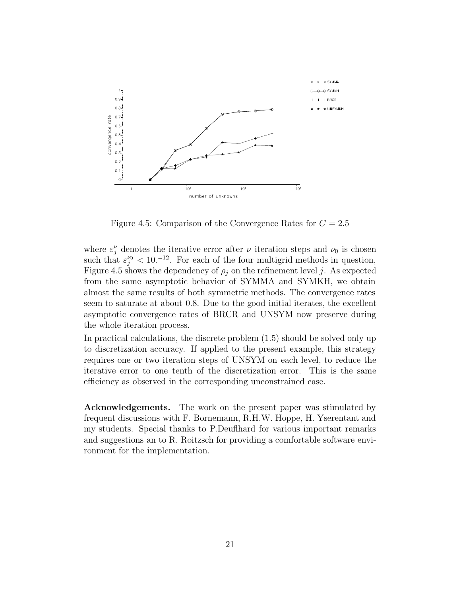

Figure 4.5: Comparison of the Convergence Rates for *C* = 2*.*5

where  $\varepsilon_j^{\nu}$  denotes the iterative error after  $\nu$  iteration steps and  $\nu_0$  is chosen such that  $\varepsilon_j^{\nu_0} < 10^{-12}$ . For each of the four multigrid methods in question, Figure 4.5 shows the dependency of  $\rho_j$  on the refinement level *j*. As expected from the same asymptotic behavior of SYMMA and SYMKH, we obtain almost the same results of both symmetric methods. The convergence rates seem to saturate at about 0*.*8. Due to the good initial iterates, the excellent asymptotic convergence rates of BRCR and UNSYM now preserve during the whole iteration process.

In practical calculations, the discrete problem (1.5) should be solved only up to discretization accuracy. If applied to the present example, this strategy requires one or two iteration steps of UNSYM on each level, to reduce the iterative error to one tenth of the discretization error. This is the same efficiency as observed in the corresponding unconstrained case.

**Acknowledgements.** The work on the present paper was stimulated by frequent discussions with F. Bornemann, R.H.W. Hoppe, H. Yserentant and my students. Special thanks to P.Deuflhard for various important remarks and suggestions an to R. Roitzsch for providing a comfortable software environment for the implementation.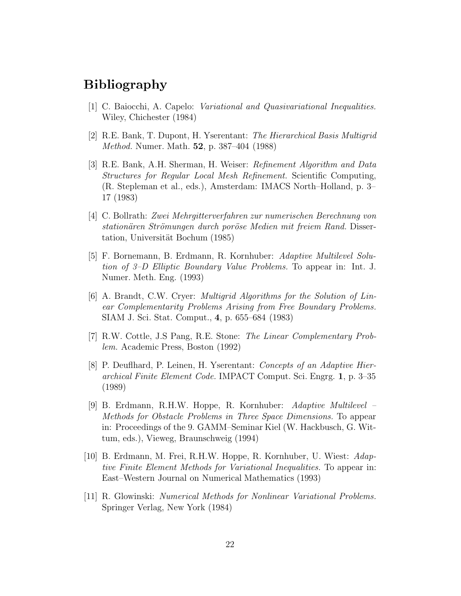# Bibliography

- [1] C. Baiocchi, A. Capelo: *Variational and Quasivariational Inequalities.* Wiley, Chichester (1984)
- [2] R.E. Bank, T. Dupont, H. Yserentant: *The Hierarchical Basis Multigrid Method.* Numer. Math. **52**, p. 387–404 (1988)
- [3] R.E. Bank, A.H. Sherman, H. Weiser: *Refinement Algorithm and Data Structures for Regular Local Mesh Refinement.* Scientific Computing, (R. Stepleman et al., eds.), Amsterdam: IMACS North–Holland, p. 3– 17 (1983)
- [4] C. Bollrath: *Zwei Mehrgitterverfahren zur numerischen Berechnung von stationären Strömungen durch poröse Medien mit freiem Rand.* Dissertation, Universität Bochum (1985)
- [5] F. Bornemann, B. Erdmann, R. Kornhuber: *Adaptive Multilevel Solution of 3–D Elliptic Boundary Value Problems.* To appear in: Int. J. Numer. Meth. Eng. (1993)
- [6] A. Brandt, C.W. Cryer: *Multigrid Algorithms for the Solution of Linear Complementarity Problems Arising from Free Boundary Problems.* SIAM J. Sci. Stat. Comput., **4**, p. 655–684 (1983)
- [7] R.W. Cottle, J.S Pang, R.E. Stone: *The Linear Complementary Problem.* Academic Press, Boston (1992)
- [8] P. Deuflhard, P. Leinen, H. Yserentant: *Concepts of an Adaptive Hierarchical Finite Element Code.* IMPACT Comput. Sci. Engrg. **1**, p. 3–35 (1989)
- [9] B. Erdmann, R.H.W. Hoppe, R. Kornhuber: *Adaptive Multilevel – Methods for Obstacle Problems in Three Space Dimensions.* To appear in: Proceedings of the 9. GAMM–Seminar Kiel (W. Hackbusch, G. Wittum, eds.), Vieweg, Braunschweig (1994)
- [10] B. Erdmann, M. Frei, R.H.W. Hoppe, R. Kornhuber, U. Wiest: *Adaptive Finite Element Methods for Variational Inequalities.* To appear in: East–Western Journal on Numerical Mathematics (1993)
- [11] R. Glowinski: *Numerical Methods for Nonlinear Variational Problems.* Springer Verlag, New York (1984)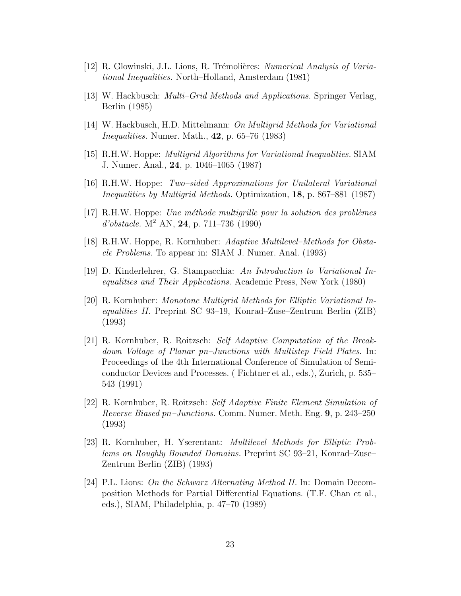- [12] R. Glowinski, J.L. Lions, R. Trémolières: *Numerical Analysis of Variational Inequalities.* North–Holland, Amsterdam (1981)
- [13] W. Hackbusch: *Multi–Grid Methods and Applications.* Springer Verlag, Berlin (1985)
- [14] W. Hackbusch, H.D. Mittelmann: *On Multigrid Methods for Variational Inequalities.* Numer. Math., **42**, p. 65–76 (1983)
- [15] R.H.W. Hoppe: *Multigrid Algorithms for Variational Inequalities.* SIAM J. Numer. Anal., **24**, p. 1046–1065 (1987)
- [16] R.H.W. Hoppe: *Two–sided Approximations for Unilateral Variational Inequalities by Multigrid Methods.* Optimization, **18**, p. 867–881 (1987)
- [17] R.H.W. Hoppe: *Une m´ethode multigrille pour la solution des probl`emes d'obstacle.* M<sup>2</sup> AN, **24**, p. 711–736 (1990)
- [18] R.H.W. Hoppe, R. Kornhuber: *Adaptive Multilevel–Methods for Obstacle Problems.* To appear in: SIAM J. Numer. Anal. (1993)
- [19] D. Kinderlehrer, G. Stampacchia: *An Introduction to Variational Inequalities and Their Applications.* Academic Press, New York (1980)
- [20] R. Kornhuber: *Monotone Multigrid Methods for Elliptic Variational Inequalities II.* Preprint SC 93–19, Konrad–Zuse–Zentrum Berlin (ZIB) (1993)
- [21] R. Kornhuber, R. Roitzsch: *Self Adaptive Computation of the Breakdown Voltage of Planar pn–Junctions with Multistep Field Plates.* In: Proceedings of the 4th International Conference of Simulation of Semiconductor Devices and Processes. ( Fichtner et al., eds.), Zurich, p. 535– 543 (1991)
- [22] R. Kornhuber, R. Roitzsch: *Self Adaptive Finite Element Simulation of Reverse Biased pn–Junctions.* Comm. Numer. Meth. Eng. **9**, p. 243–250 (1993)
- [23] R. Kornhuber, H. Yserentant: *Multilevel Methods for Elliptic Problems on Roughly Bounded Domains.* Preprint SC 93–21, Konrad–Zuse– Zentrum Berlin (ZIB) (1993)
- [24] P.L. Lions: *On the Schwarz Alternating Method II.* In: Domain Decomposition Methods for Partial Differential Equations. (T.F. Chan et al., eds.), SIAM, Philadelphia, p. 47–70 (1989)